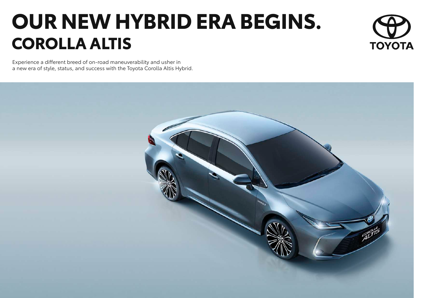# **OUR NEW HYBRID ERA BEGINS. COROLLA ALTIS**



Experience a different breed of on-road maneuverability and usher in a new era of style, status, and success with the Toyota Corolla Altis Hybrid.

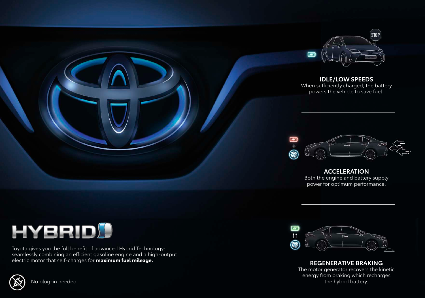



Toyota gives you the full benefit of advanced Hybrid Technology: seamlessly combining an efficient gasoline engine and a high-output electric motor that self-charges for **maximum fuel mileage.**





**REGENERATIVE BRAKING** The motor generator recovers the kinetic energy from braking which recharges the hybrid battery.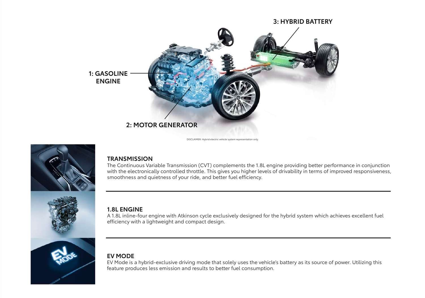

DISCLAIMER: Hybrid electric vehicle system representation only.



#### **TRANSMISSION**

The Continuous Variable Transmission (CVT) complements the 1.8L engine providing better performance in conjunction with the electronically controlled throttle. This gives you higher levels of drivability in terms of improved responsiveness, smoothness and quietness of your ride, and better fuel efficiency.

### **1.8L ENGINE**

A 1.8L inline-four engine with Atkinson cycle exclusively designed for the hybrid system which achieves excellent fuel efficiency with a lightweight and compact design.

## **EV MODE**

EV Mode is a hybrid-exclusive driving mode that solely uses the vehicle's battery as its source of power. Utilizing this feature produces less emission and results to better fuel consumption.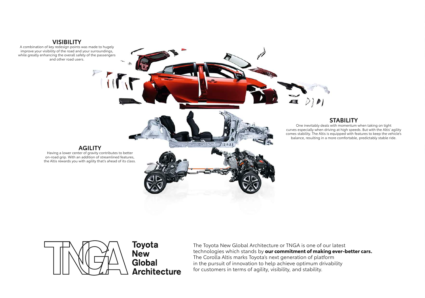#### **VISIBILITY**

A combination of key redesign points was made to hugely improve your visibility of the road and your surroundings, while greatly enhancing the overall safety of the passengers and other road users.

#### **STABILITY**

One inevitably deals with momentum when taking on tight curves especially when driving at high speeds. But with the Altis' agility comes stability. The Altis is equipped with features to keep the vehicle's balance, resulting in a more comfortable, predictably stable ride.

#### **AGILITY**

Having a lower center of gravity contributes to better on-road grip. With an addition of streamlined features, the Altis rewards you with agility that's ahead of its class.



The Toyota New Global Architecture or TNGA is one of our latest technologies which stands by **our commitment of making ever-better cars.** The Corolla Altis marks Toyota's next generation of platform in the pursuit of innovation to help achieve optimum drivability for customers in terms of agility, visibility, and stability.

**British** 

 $-12.2$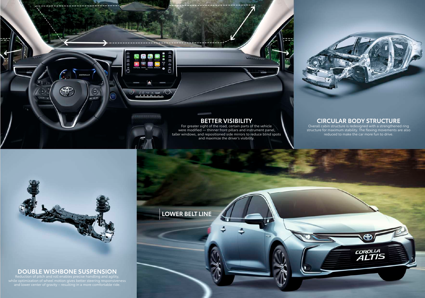

**BETTER VISIBILITY**<br>For greater sight of the road, certain parts of the vehicle were modified — thinner front pillars and instrument panel, taller windows, and repositioned side mirrors to reduce blind spots and maximize the driver's visibility.

**LOWER BELT LINE**

# **CIRCULAR BODY STRUCTURE** Overall cabin structure is redesigned with a strengthened ring

structure for maximum stability. The flexing movements are also reduced to make the car more fun to drive.

COROLLA<br>ALTIS



COROLLA

 $\Theta$ 

 $\bigoplus$ 

55

# **DOUBLE WISHBONE SUSPENSION** Reduction of pitch and roll enables precise handling and agility,

and lower center of gravity – resulting in a more comfortable ride.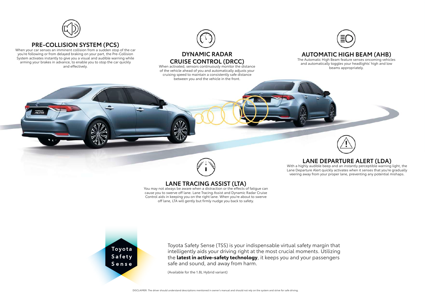

#### **PRE-COLLISION SYSTEM (PCS)**

When your car senses an imminent collision from a sudden stop of the car you're following or from delayed braking on your part, the Pre-Collision System activates instantly to give you a visual and audible warning while arming your brakes in advance, to enable you to stop the car quickly and effectively.

 $\overline{a}$  $\overline{r}$ 



#### **DYNAMIC RADAR CRUISE CONTROL (DRCC)**

When activated, sensors continuously monitor the distance of the vehicle ahead of you and automatically adjusts your cruising speed to maintain a consistently safe distance between you and the vehicle in the front.



#### **AUTOMATIC HIGH BEAM (AHB)**

The Automatic High Beam feature senses oncoming vehicles and automatically toggles your headlights' high and low beams appropriately.



#### **LANE TRACING ASSIST (LTA)**

You may not always be aware when a distraction or the effects of fatigue can cause you to swerve off lane. Lane Tracing Assist and Dynamic Radar Cruise Control aids in keeping you on the right lane. When you're about to swerve off lane, LTA will gently but firmly nudge you back to safety.

#### **LANE DEPARTURE ALERT (LDA)**

With a highly audible beep and an instantly perceptible warning light, the Lane Departure Alert quickly activates when it senses that you're gradually veering away from your proper lane, preventing any potential mishaps.

Toyota Safety Sense

Toyota Safety Sense (TSS) is your indispensable virtual safety margin that intelligently aids your driving right at the most crucial moments. Utilizing the **latest in active-safety technology**, it keeps you and your passengers safe and sound, and away from harm.

(Available for the 1.8L Hybrid variant)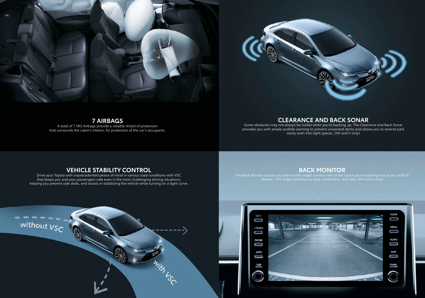



**7 AIRBAGS**

A total of 7 SRS Airbags provide a reliable shield of protection that surrounds the cabin's interior, for protection of the car's occupants.

#### **CLEARANCE AND BACK SONAR**

Some obstacles may not always be visible when you're backing up. The Clearance and Back Sonar provides you with ample audible warning to prevent unwanted dents and allows you to reverse park easily even into tight spaces. (HV and V only)

#### **VEHICLE STABILITY CONTROL**

Drive your Toyota with unprecedented peace of mind in various road conditions with VSC that keeps you and your passengers safe even in the most challenging driving situations; helping you prevent side skids, and assists in stabilizing the vehicle while turning on a tight curve.

#### **BACK MONITOR**

reverse. This makes backing up easy, convenient, and safe. (HV and V only)

ļ

U

AUCK)

Û

Į

O

Ñ



without  $V_{SC}$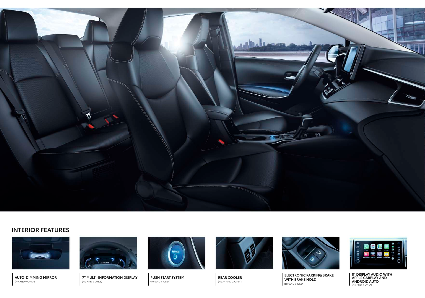

#### **INTERIOR FEATURES**



**AUTO-DIMMING MIRROR** (HV AND V ONLY)



**7" MULTI-INFORMATION DISPLAY** (HV AND V ONLY)



**PUSH START SYSTEM** (HV AND V ONLY)



**REAR COOLER** (HV, V, AND G ONLY)



**ELECTRONIC PARKING BRAKE WITH BRAKE HOLD** (HV AND V ONLY)



**8" DISPLAY AUDIO WITH<br><b>APPLE CARPLAY AND<br><b>ANDROID AUTO**<br>(HV AND V ONLY)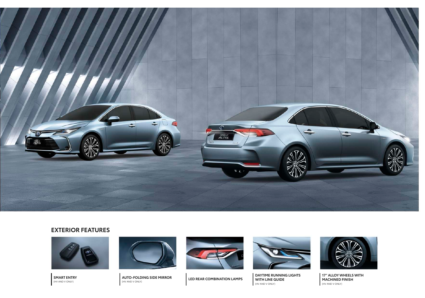

#### **EXTERIOR FEATURES**



**SMART ENTRY** (HV AND V ONLY)



**AUTO-FOLDING SIDE MIRROR** (HV AND V ONLY) **LED REAR COMBINATION LAMPS**





**DAYTIME RUNNING LIGHTS WITH LINE GUIDE** (HV AND V ONLY)



**17" ALLOY WHEELS WITH MACHINED FINISH** (HV AND V ONLY)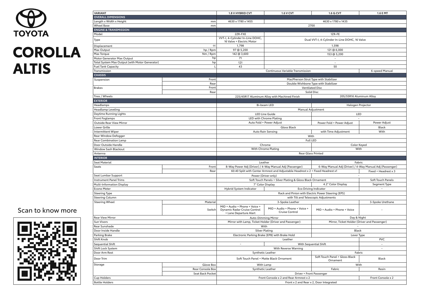

| <b>VARIANT</b>                                 |                                      | 1.8 V HYBRID CVT                                                                                       | 1.6 V CVT                                                                       | 1.6 G CVT                                           | 1.6 E MT                                                 |  |
|------------------------------------------------|--------------------------------------|--------------------------------------------------------------------------------------------------------|---------------------------------------------------------------------------------|-----------------------------------------------------|----------------------------------------------------------|--|
| <b>OVERALL DIMENSIONS</b>                      |                                      |                                                                                                        |                                                                                 |                                                     |                                                          |  |
| Length x Width x Height<br>mm                  |                                      | 4630 x 1780 x 1455<br>4630 x 1780 x 1435                                                               |                                                                                 |                                                     |                                                          |  |
| <b>Wheel Base</b><br>mm                        |                                      | 2700                                                                                                   |                                                                                 |                                                     |                                                          |  |
| <b>ENGINE &amp; TRANSMISSION</b>               |                                      |                                                                                                        |                                                                                 |                                                     |                                                          |  |
| Model                                          |                                      | 2ZR-FXE                                                                                                |                                                                                 | 1ZR-FE                                              |                                                          |  |
| Type                                           |                                      | VVT-I, 4-Cylinder In-Line DOHC,<br>16 Valve + Electric Motor                                           | Dual VVT-I, 4-Cylinder In-Line DOHC, 16 Valve                                   |                                                     |                                                          |  |
| Displacement                                   | ${\sf cc}$                           | 1,798                                                                                                  | 1,598                                                                           |                                                     |                                                          |  |
| Max Output                                     | hp / Rpm                             | 97 @ 5,200                                                                                             | 121 @ 6,000                                                                     |                                                     |                                                          |  |
| Max Torque                                     | Nm / Rpm                             | 142 @ 3,600                                                                                            | 153 @ 5,200                                                                     |                                                     |                                                          |  |
| Motor Generator Max Output                     | hp                                   | 71                                                                                                     |                                                                                 |                                                     |                                                          |  |
| Total System Max Output (with Motor Generator) | hp                                   | 121                                                                                                    | $\sim$                                                                          |                                                     |                                                          |  |
| <b>Fuel Tank Capacity</b>                      | L.                                   |                                                                                                        | 43<br>50                                                                        |                                                     |                                                          |  |
| Transmission<br><b>CHASSIS</b>                 |                                      | Continuous Variable Transmission<br>6-speed Manual                                                     |                                                                                 |                                                     |                                                          |  |
|                                                | Front                                |                                                                                                        |                                                                                 |                                                     |                                                          |  |
| Suspension                                     | Rear                                 | MacPherson Strut Type with Stabilizer<br>Double Wishbone Type with Stabilizer                          |                                                                                 |                                                     |                                                          |  |
| <b>Brakes</b>                                  | Front                                | <b>Ventilated Disc</b>                                                                                 |                                                                                 |                                                     |                                                          |  |
|                                                | Rear                                 | <b>Solid Disc</b>                                                                                      |                                                                                 |                                                     |                                                          |  |
| Tires / Wheels                                 |                                      | 205/55R16 Aluminum Alloy<br>225/45R17 Aluminum Alloy with Machined Finish                              |                                                                                 |                                                     |                                                          |  |
| <b>EXTERIOR</b>                                |                                      |                                                                                                        |                                                                                 |                                                     |                                                          |  |
| Headlamps                                      |                                      |                                                                                                        | Bi-beam LED                                                                     | Halogen Projector                                   |                                                          |  |
| Headlamp Leveling                              |                                      |                                                                                                        | Manual Adjustment                                                               |                                                     |                                                          |  |
| Daytime Running Lights                         |                                      |                                                                                                        | <b>LED Line Guide</b>                                                           | LED                                                 |                                                          |  |
| Front Foglamps                                 |                                      |                                                                                                        | LED with Chrome Plating                                                         |                                                     |                                                          |  |
| <b>Outside Rear View Mirror</b>                |                                      |                                                                                                        | Auto Fold + Power Adjust                                                        |                                                     | Power Adjust<br>Power Fold + Power Adjust                |  |
| Lower Grille                                   |                                      | Gloss Black                                                                                            |                                                                                 |                                                     | Black                                                    |  |
| <b>Intermittent Wiper</b>                      |                                      | Auto Rain Sensing                                                                                      |                                                                                 | with Time Adjustment                                | With                                                     |  |
| Rear Window Defogger                           |                                      | With                                                                                                   |                                                                                 |                                                     |                                                          |  |
| <b>Rear Combination Lamp</b>                   |                                      | <b>Full LED</b>                                                                                        |                                                                                 |                                                     |                                                          |  |
| Door Outside Handle                            |                                      | Chrome                                                                                                 |                                                                                 | Color Keyed                                         |                                                          |  |
| Window Sash Blackout                           |                                      |                                                                                                        | With Chrome Plating                                                             |                                                     | With                                                     |  |
| Antenna                                        |                                      | <b>Rear Glass Printed</b>                                                                              |                                                                                 |                                                     |                                                          |  |
| <b>INTERIOR</b>                                |                                      |                                                                                                        |                                                                                 |                                                     |                                                          |  |
| Seat Material                                  |                                      | Leather                                                                                                |                                                                                 | Fabric                                              |                                                          |  |
| Seats                                          | Front                                |                                                                                                        | 8-Way Power Adj (Driver) / 4-Way Manual Adj (Passenger)                         |                                                     | 6-Way Manual Adj (Driver) / 4-Way Manual Adj (Passenger) |  |
|                                                | Rear                                 |                                                                                                        | 60:40 Split with Center Armrest and Adjustable Headrest x 2 + Fixed Headrest x1 |                                                     | Fixed + Headrest x 3                                     |  |
| Seat Lumbar Support                            |                                      | Power (Driver only)                                                                                    |                                                                                 |                                                     |                                                          |  |
| <b>Instrument Panel Trims</b>                  |                                      | Soft Touch Panels + Silver Plating & Gloss Black Ornament                                              |                                                                                 |                                                     | Soft Touch Panels                                        |  |
| Multi-Information Display                      |                                      |                                                                                                        | 4.2" Color Display<br>7" Color Display                                          |                                                     | Segment Type                                             |  |
| <b>Econo Meter</b>                             |                                      | Hybrid System Indicator                                                                                | <b>Eco Driving Indicator</b>                                                    |                                                     | $\sim$                                                   |  |
| <b>Steering Type</b>                           |                                      |                                                                                                        | Rack and Pinion with Electric Power Steering (EPS)                              |                                                     |                                                          |  |
| <b>Steering Column</b>                         |                                      | with Tilt and Telescopic Adjustments                                                                   |                                                                                 |                                                     |                                                          |  |
| <b>Steering Wheel</b>                          | Material                             |                                                                                                        | 3-Spoke Leather                                                                 |                                                     | 3-Spoke Urethane                                         |  |
|                                                | Switch                               | MID + Audio + Phone + Voice +<br>Dynamic Radar Cruise Control<br>+ Lane Departure Alert                | MID + Audio + Phone + Voice +<br>Cruise Control                                 | MID + Audio + Phone + Voice                         |                                                          |  |
| Rear View Mirror                               |                                      | <b>Auto-Dimming Mirror</b>                                                                             |                                                                                 | Day & Night                                         |                                                          |  |
| Sun Visors                                     |                                      | Mirror with Lamp, Ticket Holder (Driver and Passenger)                                                 |                                                                                 | Mirror, Ticket Holder (Driver and Passenger)        |                                                          |  |
| Rear Sunshade                                  |                                      | With                                                                                                   |                                                                                 |                                                     |                                                          |  |
| Door Inside Handle                             |                                      | <b>Silver Plating</b>                                                                                  |                                                                                 | Black                                               |                                                          |  |
| Parking Brake                                  |                                      | Electronic Parking Brake (EPB) with Brake Hold                                                         |                                                                                 | Lever Type                                          |                                                          |  |
| Shift Knob                                     |                                      | Leather                                                                                                |                                                                                 | <b>PVC</b>                                          |                                                          |  |
| Sequential Shift                               |                                      | $\sim$                                                                                                 |                                                                                 | With Sequential Shift<br>$\sim$                     |                                                          |  |
| Shift Lock System                              |                                      | With Reverse Warning                                                                                   |                                                                                 | $\overline{\phantom{a}}$                            |                                                          |  |
| Door Arm Rest                                  |                                      | Synthetic Leather                                                                                      |                                                                                 | Fabric                                              |                                                          |  |
| Door Trim                                      |                                      | Soft Touch Panel + Matte Black Ornament                                                                |                                                                                 | Soft Touch Panel + Gloss Black<br>Black<br>Ornament |                                                          |  |
| Storage                                        | Glove Box                            |                                                                                                        | With Lamp                                                                       | With                                                |                                                          |  |
|                                                | Rear Console Box<br>Seat Back Pocket |                                                                                                        | Synthetic Leather<br>Driver + Front Passenger                                   | Fabric                                              | Resin                                                    |  |
| <b>Cup Holders</b>                             |                                      |                                                                                                        |                                                                                 |                                                     |                                                          |  |
| <b>Bottle Holders</b>                          |                                      | Front Console x 2 and Rear Armrest x 2<br>Front Console x 2<br>Front x 2 and Rear x 2, Door Integrated |                                                                                 |                                                     |                                                          |  |
|                                                |                                      |                                                                                                        |                                                                                 |                                                     |                                                          |  |

# Scan to know more

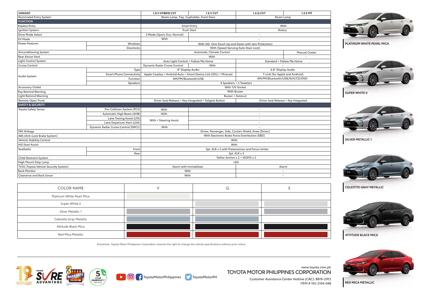| <b>VARIANT</b>                        |                                     |                                                                                                     | <b>1.6 V CVT</b>                       |                                      |                       |  |
|---------------------------------------|-------------------------------------|-----------------------------------------------------------------------------------------------------|----------------------------------------|--------------------------------------|-----------------------|--|
| Illuminated Entry System              |                                     | 1.8 V HYBRID CVT                                                                                    | Room Lamp, Tray, Cupholder, Front Door | 1.6 G CVT                            | 1.6 E MT<br>Room Lamp |  |
| <b>FUNCTION</b>                       |                                     |                                                                                                     |                                        |                                      |                       |  |
| <b>Keyless Entry</b>                  |                                     | <b>Smart Entry</b>                                                                                  |                                        | With                                 |                       |  |
| Ignition System                       |                                     | Push Start                                                                                          |                                        | Rotary                               |                       |  |
| Drive Mode Select                     |                                     | 3 Mode (Sport, Eco, Normal)                                                                         |                                        | $\overline{\phantom{a}}$             |                       |  |
| <b>EV Mode</b>                        |                                     | With                                                                                                |                                        |                                      |                       |  |
| <b>Power Features</b>                 | Windows                             | With (All: One Touch Up and Down with Jam Protection)                                               |                                        |                                      |                       |  |
|                                       | Doorlocks                           | With (Speed Sensing Auto Door Lock)                                                                 |                                        |                                      |                       |  |
| Airconditioning System                |                                     |                                                                                                     | Automatic Climate Control              |                                      | Manual Cooler         |  |
| <b>Rear Aircon Vent</b>               |                                     | With                                                                                                |                                        |                                      |                       |  |
| Light Control System                  |                                     | Auto Light Control + Follow Me Home                                                                 |                                        | Standard + Follow Me Home            |                       |  |
| Cruise Control                        |                                     | Dynamic Radar Cruise Control                                                                        | With                                   |                                      |                       |  |
|                                       | Type                                | 8" Display Audio                                                                                    |                                        | 6.8" Display Audio                   |                       |  |
| Audio System                          | <b>Smart Phone Connectivity</b>     | Apple Carplay + Android Auto + Smart Device Link (SDL) + Miracast<br>T-Link (for Apple and Android) |                                        |                                      |                       |  |
|                                       | Function                            | AM/FM/Bluetooth/USB                                                                                 |                                        | AM/FM/Bluetooth/USB/AUX/CD/DVD       |                       |  |
|                                       | Speakers                            | 4 Speakers + 2 Tweeters                                                                             |                                        |                                      |                       |  |
| <b>Accessory Outlet</b>               |                                     | With 12V Socket                                                                                     |                                        |                                      |                       |  |
| Key Remind Warning                    |                                     | <b>With Buzzer</b>                                                                                  |                                        |                                      |                       |  |
| Light Remind Warning                  |                                     | Buzzer + Autocut                                                                                    |                                        |                                      |                       |  |
| Remote Open Trunk                     |                                     | Driver Seat Release + Key Integrated + Tailgate Button                                              |                                        | Driver Seat Release + Key Integrated |                       |  |
| <b>SAFETY &amp; SECURITY</b>          |                                     |                                                                                                     |                                        |                                      |                       |  |
| <b>Toyota Safety Sense</b>            | Pre-Collision System (PCS)          | With                                                                                                |                                        | $\overline{\phantom{a}}$             |                       |  |
|                                       | Automatic High Beam (AHB)           | With                                                                                                | ٠                                      |                                      |                       |  |
|                                       | Lane Tracing Assist (LTA)           | With + Steering Assist                                                                              |                                        | ÷,                                   |                       |  |
|                                       | Lane Departure Alert (LDA)          |                                                                                                     | $\sim$                                 |                                      |                       |  |
|                                       | Dynamic Radar Cruise Control (DRCC) | With                                                                                                |                                        |                                      |                       |  |
| <b>SRS Airbags</b>                    |                                     | Driver, Passenger, Side, Curtain Shield, Knee (Driver)                                              |                                        |                                      |                       |  |
| ABS (Anti-Lock Brake System)          |                                     | With Electronic Brake Force Distribution (EBD)                                                      |                                        |                                      |                       |  |
| Vehicle Stability Control             |                                     | With                                                                                                |                                        |                                      |                       |  |
| <b>Hill Start Assist</b>              |                                     | With                                                                                                |                                        |                                      |                       |  |
| Seatbelts                             | Front                               | 3pt. ELR x 2 with Pretensioner and Force Limiter                                                    |                                        |                                      |                       |  |
|                                       | Rear                                | $3pt.$ ELR $\times$ 3                                                                               |                                        |                                      |                       |  |
| <b>Child Restraint System</b>         |                                     | Tether Anchor x 2 + ISOFIX x 2                                                                      |                                        |                                      |                       |  |
| High Mount Stop Lamp                  |                                     | LED                                                                                                 |                                        |                                      |                       |  |
| TVSS (Toyota Vehicle Security System) |                                     | Alarm with Immobilizer                                                                              |                                        | Alarm                                |                       |  |
| <b>Back Monitor</b>                   |                                     | With                                                                                                |                                        | $\overline{\phantom{a}}$             |                       |  |
| <b>Clearance and Back Sonar</b>       |                                     | With<br>$\sim$                                                                                      |                                        |                                      |                       |  |
|                                       |                                     |                                                                                                     |                                        |                                      |                       |  |

| <b>COLOR NAME</b>         | G |  |
|---------------------------|---|--|
| Platinum White Pearl Mica |   |  |
| Super White II            |   |  |
| Silver Metallic 1         |   |  |
| Celestite Gray Metallic   |   |  |
| Attitude Black Mica       |   |  |
| Red Mica Metallic         |   |  |

Disclaimer: Toyota Motor Philippines Corporation reserves the right to change the vehicle specifications without prior notice.

**ToyotaMotorPhilippines** ToyotaMotorPH





**SUPER WHITE II**







**ATTITUDE BLACK MICA**



**RED MICA METALLIC**



www.toyota.com.ph TOYOTA MOTOR PHILIPPINES CORPORATION

> Customer Assistance Center Hotline (CAC): 8819-2912 ITEM # 102-2104-04B